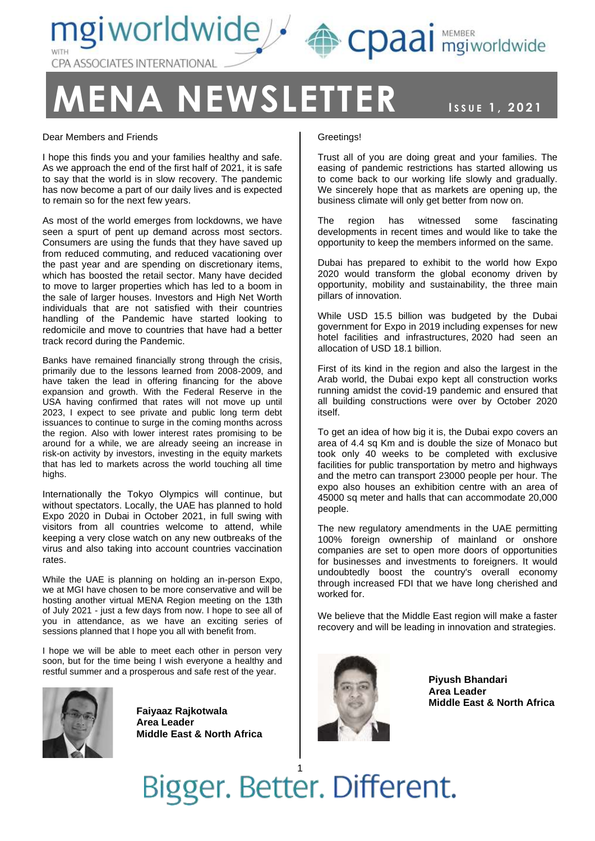

### **MA NEWSLETTER ISSUE 1, 2021**

NEWSLETT, 2021

#### Dear Members and Friends

I hope this finds you and your families healthy and safe. As we approach the end of the first half of 2021, it is safe to say that the world is in slow recovery. The pandemic has now become a part of our daily lives and is expected to remain so for the next few years.

As most of the world emerges from lockdowns, we have seen a spurt of pent up demand across most sectors. Consumers are using the funds that they have saved up from reduced commuting, and reduced vacationing over the past year and are spending on discretionary items, which has boosted the retail sector. Many have decided to move to larger properties which has led to a boom in the sale of larger houses. Investors and High Net Worth individuals that are not satisfied with their countries handling of the Pandemic have started looking to redomicile and move to countries that have had a better track record during the Pandemic.

Banks have remained financially strong through the crisis, primarily due to the lessons learned from 2008-2009, and have taken the lead in offering financing for the above expansion and growth. With the Federal Reserve in the USA having confirmed that rates will not move up until 2023, I expect to see private and public long term debt issuances to continue to surge in the coming months across the region. Also with lower interest rates promising to be around for a while, we are already seeing an increase in risk-on activity by investors, investing in the equity markets that has led to markets across the world touching all time highs.

Internationally the Tokyo Olympics will continue, but without spectators. Locally, the UAE has planned to hold Expo 2020 in Dubai in October 2021, in full swing with visitors from all countries welcome to attend, while keeping a very close watch on any new outbreaks of the virus and also taking into account countries vaccination rates.

While the UAE is planning on holding an in-person Expo, we at MGI have chosen to be more conservative and will be hosting another virtual MENA Region meeting on the 13th of July 2021 - just a few days from now. I hope to see all of you in attendance, as we have an exciting series of sessions planned that I hope you all with benefit from.

I hope we will be able to meet each other in person very soon, but for the time being I wish everyone a healthy and restful summer and a prosperous and safe rest of the year.



**Faiyaaz Rajkotwala Area Leader Middle East & North Africa**

#### Greetings!

Trust all of you are doing great and your families. The easing of pandemic restrictions has started allowing us to come back to our working life slowly and gradually. We sincerely hope that as markets are opening up, the business climate will only get better from now on.

The region has witnessed some fascinating developments in recent times and would like to take the opportunity to keep the members informed on the same.

Dubai has prepared to exhibit to the world how Expo 2020 would transform the global economy driven by opportunity, mobility and sustainability, the three main pillars of innovation.

While USD 15.5 billion was budgeted by the Dubai government for Expo in 2019 including expenses for new hotel facilities and infrastructures, 2020 had seen an allocation of USD 18.1 billion.

First of its kind in the region and also the largest in the Arab world, the Dubai expo kept all construction works running amidst the covid-19 pandemic and ensured that all building constructions were over by October 2020 itself.

To get an idea of how big it is, the Dubai expo covers an area of 4.4 sq Km and is double the size of Monaco but took only 40 weeks to be completed with exclusive facilities for public transportation by metro and highways and the metro can transport 23000 people per hour. The expo also houses an exhibition centre with an area of 45000 sq meter and halls that can accommodate 20,000 people.

The new regulatory amendments in the UAE permitting 100% foreign ownership of mainland or onshore companies are set to open more doors of opportunities for businesses and investments to foreigners. It would undoubtedly boost the country's overall economy through increased FDI that we have long cherished and worked for.

We believe that the Middle East region will make a faster recovery and will be leading in innovation and strategies.



**Piyush Bhandari Area Leader Middle East & North Africa**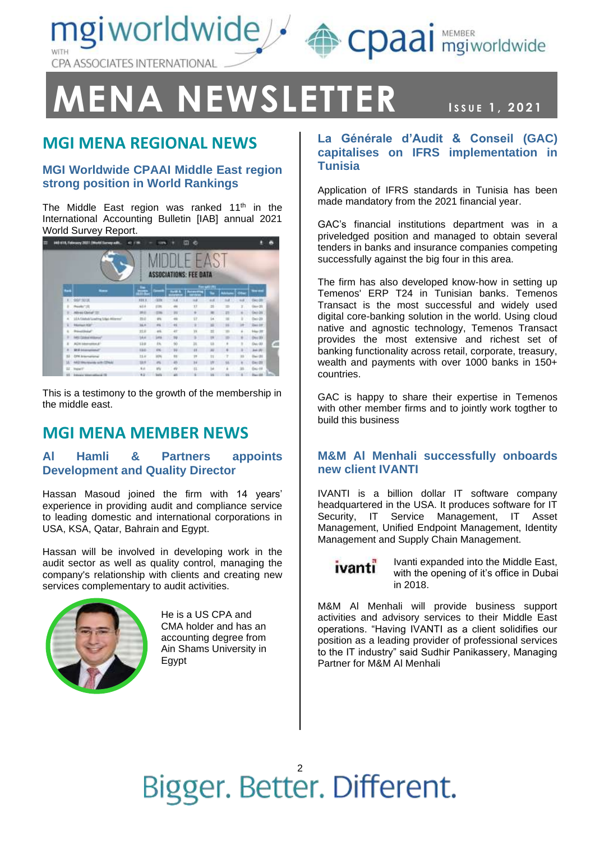mgiworldwide / epaai mgiworldwide CPA ASSOCIATES INTERNATIONAL

## **MENA NEWSLETTER ISSUE 1, 2021**

NEWSLETT, 2021

### **MGI MENA REGIONAL NEWS**

#### **MGI Worldwide CPAAI Middle East region strong position in World Rankings**

The Middle East region was ranked  $11<sup>th</sup>$  in the International Accounting Bulletin [IAB] annual 2021 World Survey Report.

| O<br>$-11$<br><b>ASSOCIATIONS: FEE DATA</b> |                                             |             |               |                   |              |          |         |     |               |  |
|---------------------------------------------|---------------------------------------------|-------------|---------------|-------------------|--------------|----------|---------|-----|---------------|--|
| ш                                           |                                             | ä.          |               | <b>Audi &amp;</b> | <b>Fan i</b> | ๛        |         |     | <b>Thurs</b>  |  |
| x                                           | 0073018                                     | mi          | <b>GSN</b>    | $\overline{14}$   |              | $-1$     | $^{**}$ | ua. | ties do       |  |
| ٠                                           | Needly <sup>2</sup> 722                     | 82.6        | <b>COL</b>    |                   | $\mathbf{r}$ | $\equiv$ |         |     | $0 + 20$      |  |
| ٠                                           | <b>Minimal Clusted</b> (201)                | m           | <b>COL</b>    | <b>ISE</b>        |              |          | 21      |     | Del-DE        |  |
| $\overline{a}$                              | LEA OMMATEMENT SING Allerman                | <b>IS-A</b> | $\frac{1}{2}$ |                   | 1P           | 16       |         | ٠   | $0 + 10$      |  |
| ×                                           | Marinard Kitch                              | 24.6        | 461           | 4L                | ÷            | ш        | 24      | и   | 1646.28       |  |
| ٠                                           | <b>President</b>                            | ztil        | 46.           | 4ŕ.               | w            | $\equiv$ |         |     | High 22       |  |
|                                             | MSTORINA Millioner                          | 564         | 546           | 99                |              | <b>H</b> |         |     | 04139         |  |
| ×                                           | AUX Memorianus !!                           | 13.8        | 151           | $^{+6}$           | 豆            | tä.      | ÷       |     | Dec 23.       |  |
| ×                                           | <b>BOUNDARY</b>                             | <b>DE</b>   | DK.           | 32.               | 11'          | 皿        | ٠       |     | An OU         |  |
| 11                                          | DFK International                           | <b>SLE</b>  | ipte          | <b>SE</b>         | 18           | 14       | ÷       | 12  | Rev 21        |  |
| 31                                          | ARC/Annexota sum (254.6)                    | <b>VAW</b>  | as:           | 45                | 36           | W        |         |     | $0 + 28$      |  |
| 12                                          | <b>Buter</b>                                | 8.6         | thi           | 49                | $\pm$        | bk       | ×       | m   | <b>DAI-19</b> |  |
|                                             | A 61   A 44   E E 1   Honor County and Care | ALC: U      | <b>GALLER</b> | <b>START</b>      |              | Arrest C | dog     | n.  | determined.   |  |

This is a testimony to the growth of the membership in the middle east.

### **MGI MENA MEMBER NEWS**

#### **Al Hamli & Partners appoints Development and Quality Director**

Hassan Masoud joined the firm with 14 years' experience in providing audit and compliance service to leading domestic and international corporations in USA, KSA, Qatar, Bahrain and Egypt.

Hassan will be involved in developing work in the audit sector as well as quality control, managing the company's relationship with clients and creating new services complementary to audit activities.



He is a US CPA and CMA holder and has an accounting degree from Ain Shams University in Egypt

#### **La Générale d'Audit & Conseil (GAC) capitalises on IFRS implementation in Tunisia**

Application of IFRS standards in Tunisia has been made mandatory from the 2021 financial year.

GAC's financial institutions department was in a priveledged position and managed to obtain several tenders in banks and insurance companies competing successfully against the big four in this area.

The firm has also developed know-how in setting up Temenos' ERP T24 in Tunisian banks. Temenos Transact is the most successful and widely used digital core-banking solution in the world. Using cloud native and agnostic technology, Temenos Transact provides the most extensive and richest set of banking functionality across retail, corporate, treasury, wealth and payments with over 1000 banks in 150+ countries.

GAC is happy to share their expertise in Temenos with other member firms and to jointly work togther to build this business

#### **M&M Al Menhali successfully onboards new client IVANTI**

IVANTI is a billion dollar IT software company headquartered in the USA. It produces software for IT Security, IT Service Management, IT Asset Management, Unified Endpoint Management, Identity Management and Supply Chain Management.

**ivanti** 

Ivanti expanded into the Middle East, with the opening of it's office in Dubai in 2018.

M&M Al Menhali will provide business support activities and advisory services to their Middle East operations. "Having IVANTI as a client solidifies our position as a leading provider of professional services to the IT industry" said Sudhir Panikassery, Managing Partner for M&M Al Menhali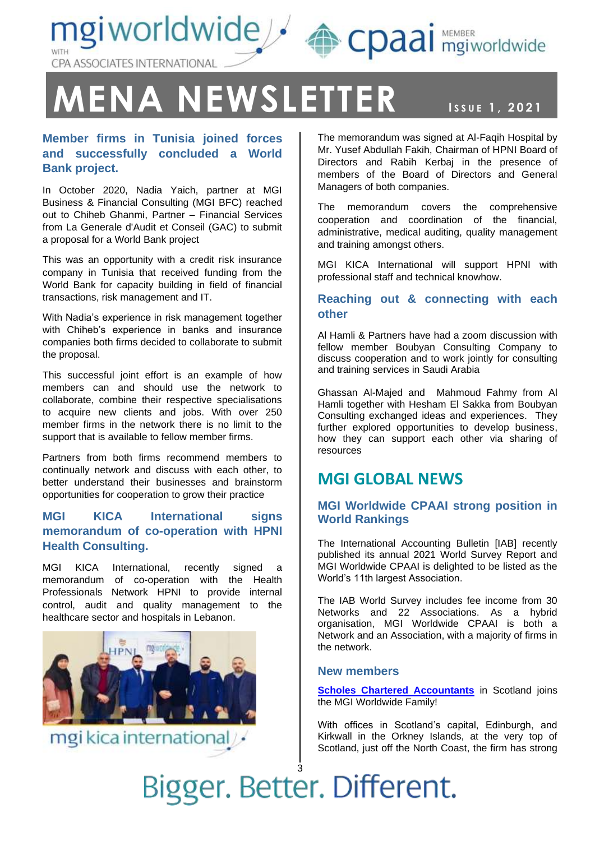mgiworldwide / epaai MEMBER CPA ASSOCIATES INTERNATIONAL

## **MENA NEWSLETTER ISSUE 1, 2021**

**Member firms in Tunisia joined forces and successfully concluded a World Bank project.**

In October 2020, Nadia Yaich, partner at MGI Business & Financial Consulting (MGI BFC) reached out to Chiheb Ghanmi, Partner – Financial Services from La Generale d'Audit et Conseil (GAC) to submit a proposal for a World Bank project

This was an opportunity with a credit risk insurance company in Tunisia that received funding from the World Bank for capacity building in field of financial transactions, risk management and IT.

With Nadia's experience in risk management together with Chiheb's experience in banks and insurance companies both firms decided to collaborate to submit the proposal.

This successful joint effort is an example of how members can and should use the network to collaborate, combine their respective specialisations to acquire new clients and jobs. With over 250 member firms in the network there is no limit to the support that is available to fellow member firms.

Partners from both firms recommend members to continually network and discuss with each other, to better understand their businesses and brainstorm opportunities for cooperation to grow their practice

#### **MGI KICA International signs memorandum of co-operation with HPNI Health Consulting.**

MGI KICA International, recently signed a memorandum of co-operation with the Health Professionals Network HPNI to provide internal control, audit and quality management to the healthcare sector and hospitals in Lebanon.



mgi kica international

The memorandum was signed at Al-Faqih Hospital by Mr. Yusef Abdullah Fakih, Chairman of HPNI Board of Directors and Rabih Kerbaj in the presence of members of the Board of Directors and General Managers of both companies.

The memorandum covers the comprehensive cooperation and coordination of the financial, administrative, medical auditing, quality management and training amongst others.

MGI KICA International will support HPNI with professional staff and technical knowhow.

#### **Reaching out & connecting with each other**

Al Hamli & Partners have had a zoom discussion with fellow member Boubyan Consulting Company to discuss cooperation and to work jointly for consulting and training services in Saudi Arabia

Ghassan Al-Majed and Mahmoud Fahmy from Al Hamli together with Hesham El Sakka from Boubyan Consulting exchanged ideas and experiences. They further explored opportunities to develop business, how they can support each other via sharing of resources

### **MGI GLOBAL NEWS**

#### **MGI Worldwide CPAAI strong position in World Rankings**

The International Accounting Bulletin [IAB] recently published its annual 2021 World Survey Report and MGI Worldwide CPAAI is delighted to be listed as the World's 11th largest Association.

The IAB World Survey includes fee income from 30 Networks and 22 Associations. As a hybrid organisation, MGI Worldwide CPAAI is both a Network and an Association, with a majority of firms in the network.

#### **New members**

**[Scholes Chartered Accountants](https://www.mgiworld.com/firms/scholes-chartered-accountants/)** in Scotland joins the MGI Worldwide Family!

With offices in Scotland's capital, Edinburgh, and Kirkwall in the Orkney Islands, at the very top of Scotland, just off the North Coast, the firm has strong

3 Bigger. Better. Different.

### NEWSLETT, 2021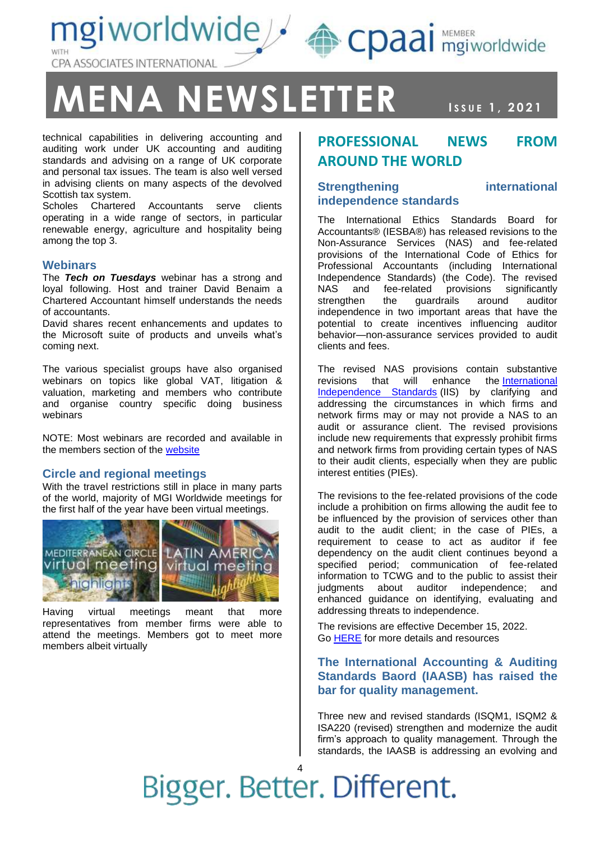mgiworldwide / epaai MEMBER CPA ASSOCIATES INTERNATIONAL

### **ENA NEWSLETTER ISSUE 1, 2021**

NEWSLETT, 2021

technical capabilities in delivering accounting and auditing work under UK accounting and auditing standards and advising on a range of UK corporate and personal tax issues. The team is also well versed in advising clients on many aspects of the devolved Scottish tax system.

Scholes Chartered Accountants serve clients operating in a wide range of sectors, in particular renewable energy, agriculture and hospitality being among the top 3.

#### **Webinars**

The *Tech on Tuesdays* webinar has a strong and loyal following. Host and trainer David Benaim a Chartered Accountant himself understands the needs of accountants.

David shares recent enhancements and updates to the Microsoft suite of products and unveils what's coming next.

The various specialist groups have also organised webinars on topics like global VAT, litigation & valuation, marketing and members who contribute and organise country specific doing business webinars

NOTE: Most webinars are recorded and available in the members section of the [website](https://www.mgiworld.com/members-area/knowledge-hub/webinars/)

#### **Circle and regional meetings**

With the travel restrictions still in place in many parts of the world, majority of MGI Worldwide meetings for the first half of the year have been virtual meetings.



Having virtual meetings meant that more representatives from member firms were able to attend the meetings. Members got to meet more members albeit virtually

### **PROFESSIONAL NEWS FROM AROUND THE WORLD**

#### **Strengthening international independence standards**

The International Ethics Standards Board for Accountants® (IESBA®) has released revisions to the Non-Assurance Services (NAS) and fee-related provisions of the International Code of Ethics for Professional Accountants (including International Independence Standards) (the Code). The revised NAS and fee-related provisions significantly strengthen the guardrails around auditor independence in two important areas that have the potential to create incentives influencing auditor behavior—non-assurance services provided to audit clients and fees.

The revised NAS provisions contain substantive revisions that will enhance the [International](https://www.iesbaecode.org/part/4)  [Independence Standards](https://www.iesbaecode.org/part/4) (IIS) by clarifying and addressing the circumstances in which firms and network firms may or may not provide a NAS to an audit or assurance client. The revised provisions include new requirements that expressly prohibit firms and network firms from providing certain types of NAS to their audit clients, especially when they are public interest entities (PIEs).

The revisions to the fee-related provisions of the code include a prohibition on firms allowing the audit fee to be influenced by the provision of services other than audit to the audit client; in the case of PIEs, a requirement to cease to act as auditor if fee dependency on the audit client continues beyond a specified period; communication of fee-related information to TCWG and to the public to assist their judgments about auditor independence; and enhanced guidance on identifying, evaluating and addressing threats to independence.

The revisions are effective December 15, 2022. Go [HERE](https://www.ethicsboard.org/focus-areas/strengthening-international-independence-standards) for more details and resources

#### **The International Accounting & Auditing Standards Baord (IAASB) has raised the bar for quality management.**

Three new and revised standards (ISQM1, ISQM2 & ISA220 (revised) strengthen and modernize the audit firm's approach to quality management. Through the standards, the IAASB is addressing an evolving and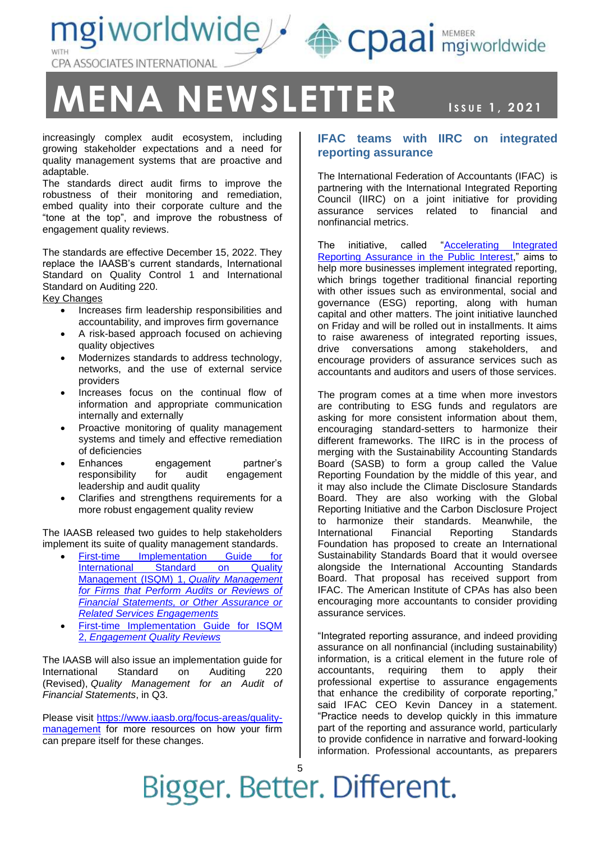mgiworldwide & cpaai MEMBER CPA ASSOCIATES INTERNATIONAL

## $MENA$   $NEWSLETTER$

**ISSUE 1, 2021** 

increasingly complex audit ecosystem, including growing stakeholder expectations and a need for quality management systems that are proactive and adaptable.

The standards direct audit firms to improve the robustness of their monitoring and remediation, embed quality into their corporate culture and the "tone at the top", and improve the robustness of engagement quality reviews.

The standards are effective December 15, 2022. They replace the IAASB's current standards, International Standard on Quality Control 1 and International Standard on Auditing 220.

Key Changes

- Increases firm leadership responsibilities and accountability, and improves firm governance
- A risk-based approach focused on achieving quality objectives
- Modernizes standards to address technology, networks, and the use of external service providers
- Increases focus on the continual flow of information and appropriate communication internally and externally
- Proactive monitoring of quality management systems and timely and effective remediation of deficiencies
- Enhances engagement partner's responsibility for audit engagement leadership and audit quality
- Clarifies and strengthens requirements for a more robust engagement quality review

The IAASB released two guides to help stakeholders implement its suite of quality management standards.

- [First-time Implementation Guide for](https://www.iaasb.org/publications/international-standard-quality-management-isqm-1-quality-management-firms-perform-audits-or-reviews)  [International Standard on Quality](https://www.iaasb.org/publications/international-standard-quality-management-isqm-1-quality-management-firms-perform-audits-or-reviews)  [Management \(ISQM\) 1,](https://www.iaasb.org/publications/international-standard-quality-management-isqm-1-quality-management-firms-perform-audits-or-reviews) *Quality Management [for Firms that Perform Audits or Reviews of](https://www.iaasb.org/publications/international-standard-quality-management-isqm-1-quality-management-firms-perform-audits-or-reviews)  [Financial Statements, or Other Assurance or](https://www.iaasb.org/publications/international-standard-quality-management-isqm-1-quality-management-firms-perform-audits-or-reviews)  [Related Services Engagements](https://www.iaasb.org/publications/international-standard-quality-management-isqm-1-quality-management-firms-perform-audits-or-reviews)*
- [First-time Implementation Guide for ISQM](https://www.iaasb.org/publications/international-standard-quality-management-isqm-2-enhancing-quality-reviews)  2, *[Engagement Quality Reviews](https://www.iaasb.org/publications/international-standard-quality-management-isqm-2-enhancing-quality-reviews)*

The IAASB will also issue an implementation guide for International Standard on Auditing 220 (Revised), *Quality Management for an Audit of Financial Statements*, in Q3.

Please visit [https://www.iaasb.org/focus-areas/quality](https://www.iaasb.org/focus-areas/quality-management)[management](https://www.iaasb.org/focus-areas/quality-management) for more resources on how your firm can prepare itself for these changes.

#### **IFAC teams with IIRC on integrated reporting assurance**

The International Federation of Accountants (IFAC) is partnering with the International Integrated Reporting Council (IIRC) on a joint initiative for providing assurance services related to financial and nonfinancial metrics.

The initiative, called "Accelerating Integrated [Reporting Assurance in the Public Interest,](https://www.ifac.org/knowledge-gateway/preparing-future-ready-professionals/publications/accelerating-integrated-reporting-assurance-public-interest)" aims to help more businesses implement integrated reporting, which brings together traditional financial reporting with other issues such as environmental, social and governance (ESG) reporting, along with human capital and other matters. The joint initiative launched on Friday and will be rolled out in installments. It aims to raise awareness of integrated reporting issues, drive conversations among stakeholders, and encourage providers of assurance services such as accountants and auditors and users of those services.

The program comes at a time when more investors are contributing to ESG funds and regulators are asking for more consistent information about them, encouraging standard-setters to harmonize their different frameworks. The IIRC is in the process of merging with the Sustainability Accounting Standards Board (SASB) to form a group called the Value Reporting Foundation by the middle of this year, and it may also include the Climate Disclosure Standards Board. They are also working with the Global Reporting Initiative and the Carbon Disclosure Project to harmonize their standards. Meanwhile, the International Financial Reporting Standards Foundation has proposed to create an International Sustainability Standards Board that it would oversee alongside the International Accounting Standards Board. That proposal has received support from IFAC. The American Institute of CPAs has also been encouraging more accountants to consider providing assurance services.

"Integrated reporting assurance, and indeed providing assurance on all nonfinancial (including sustainability) information, is a critical element in the future role of accountants, requiring them to apply their professional expertise to assurance engagements that enhance the credibility of corporate reporting," said IFAC CEO Kevin Dancey in a statement. "Practice needs to develop quickly in this immature part of the reporting and assurance world, particularly to provide confidence in narrative and forward-looking information. Professional accountants, as preparers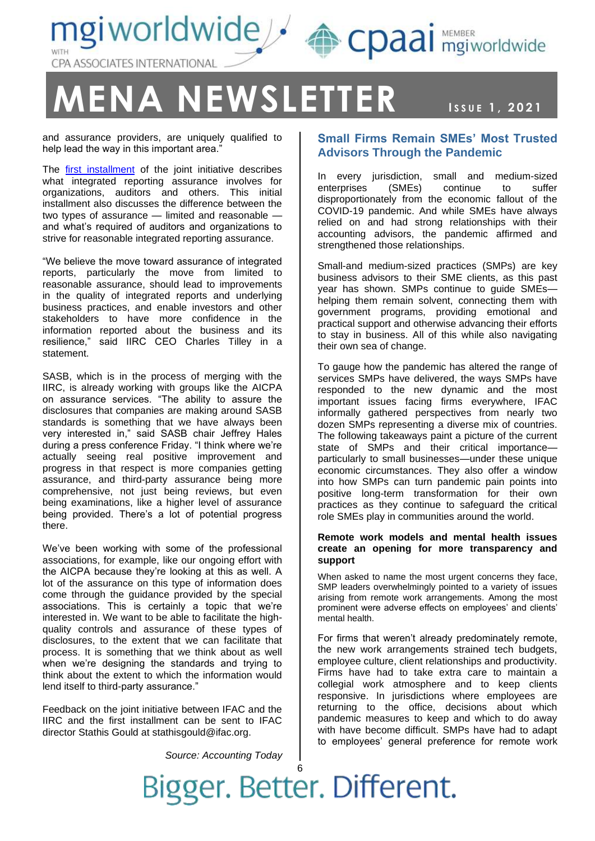mgiworldwide / epaai MEMBER CPA ASSOCIATES INTERNATIONAL

### $EMA$   $NEWSLETTER$

ISSUE 1, 2021

and assurance providers, are uniquely qualified to help lead the way in this important area."

The [first installment](https://www.ifac.org/knowledge-gateway/preparing-future-ready-professionals/publications/accelerating-integrated-reporting-assurance-public-interest) of the joint initiative describes what integrated reporting assurance involves for organizations, auditors and others. This initial installment also discusses the difference between the two types of assurance — limited and reasonable and what's required of auditors and organizations to strive for reasonable integrated reporting assurance.

"We believe the move toward assurance of integrated reports, particularly the move from limited to reasonable assurance, should lead to improvements in the quality of integrated reports and underlying business practices, and enable investors and other stakeholders to have more confidence in the information reported about the business and its resilience," said IIRC CEO Charles Tilley in a statement.

SASB, which is in the process of merging with the IIRC, is already working with groups like the AICPA on assurance services. "The ability to assure the disclosures that companies are making around SASB standards is something that we have always been very interested in," said SASB chair Jeffrey Hales during a press conference Friday. "I think where we're actually seeing real positive improvement and progress in that respect is more companies getting assurance, and third-party assurance being more comprehensive, not just being reviews, but even being examinations, like a higher level of assurance being provided. There's a lot of potential progress there.

We've been working with some of the professional associations, for example, like our ongoing effort with the AICPA because they're looking at this as well. A lot of the assurance on this type of information does come through the guidance provided by the special associations. This is certainly a topic that we're interested in. We want to be able to facilitate the highquality controls and assurance of these types of disclosures, to the extent that we can facilitate that process. It is something that we think about as well when we're designing the standards and trying to think about the extent to which the information would lend itself to third-party assurance."

Feedback on the joint initiative between IFAC and the IIRC and the first installment can be sent to IFAC director Stathis Gould at stathisgould@ifac.org.

*Source: Accounting Today*

#### **Small Firms Remain SMEs' Most Trusted Advisors Through the Pandemic**

In every jurisdiction, small and medium-sized enterprises (SMEs) continue to suffer disproportionately from the economic fallout of the COVID-19 pandemic. And while SMEs have always relied on and had strong relationships with their accounting advisors, the pandemic affirmed and strengthened those relationships.

Small-and medium-sized practices (SMPs) are key business advisors to their SME clients, as this past year has shown. SMPs continue to guide SMEs helping them remain solvent, connecting them with government programs, providing emotional and practical support and otherwise advancing their efforts to stay in business. All of this while also navigating their own sea of change.

To gauge how the pandemic has altered the range of services SMPs have delivered, the ways SMPs have responded to the new dynamic and the most important issues facing firms everywhere, IFAC informally gathered perspectives from nearly two dozen SMPs representing a diverse mix of countries. The following takeaways paint a picture of the current state of SMPs and their critical importance particularly to small businesses—under these unique economic circumstances. They also offer a window into how SMPs can turn pandemic pain points into positive long-term transformation for their own practices as they continue to safeguard the critical role SMEs play in communities around the world.

#### **Remote work models and mental health issues create an opening for more transparency and support**

When asked to name the most urgent concerns they face. SMP leaders overwhelmingly pointed to a variety of issues arising from remote work arrangements. Among the most prominent were adverse effects on employees' and clients' mental health.

For firms that weren't already predominately remote, the new work arrangements strained tech budgets, employee culture, client relationships and productivity. Firms have had to take extra care to maintain a collegial work atmosphere and to keep clients responsive. In jurisdictions where employees are returning to the office, decisions about which pandemic measures to keep and which to do away with have become difficult. SMPs have had to adapt to employees' general preference for remote work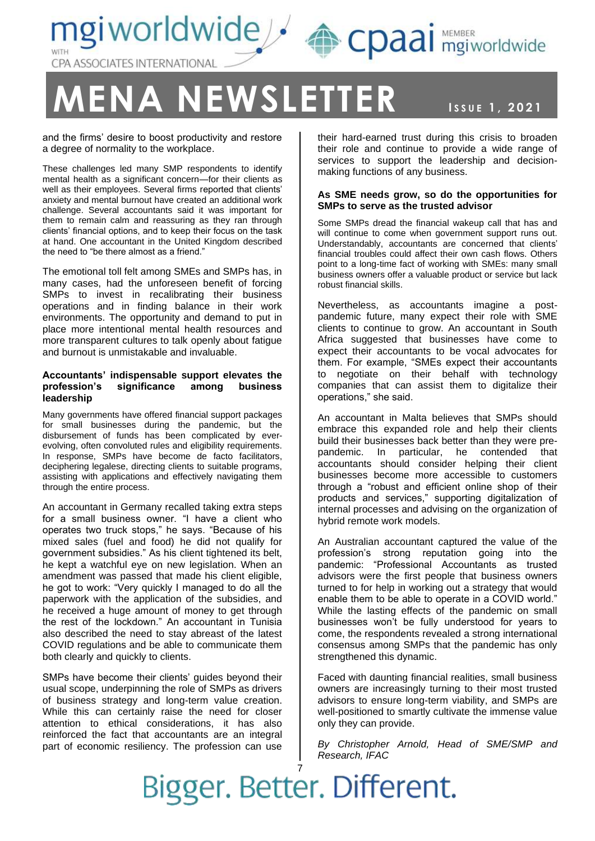

## **ENA NEWSLETTER ISSUE 1, 2021**

NEWSLETT, 2021

and the firms' desire to boost productivity and restore a degree of normality to the workplace.

These challenges led many SMP respondents to identify mental health as a significant concern—for their clients as well as their employees. Several firms reported that clients' anxiety and mental burnout have created an additional work challenge. Several accountants said it was important for them to remain calm and reassuring as they ran through clients' financial options, and to keep their focus on the task at hand. One accountant in the United Kingdom described the need to "be there almost as a friend."

The emotional toll felt among SMEs and SMPs has, in many cases, had the unforeseen benefit of forcing SMPs to invest in recalibrating their business operations and in finding balance in their work environments. The opportunity and demand to put in place more intentional mental health resources and more transparent cultures to talk openly about fatigue and burnout is unmistakable and invaluable.

#### **Accountants' indispensable support elevates the profession's significance among business leadership**

Many governments have offered financial support packages for small businesses during the pandemic, but the disbursement of funds has been complicated by everevolving, often convoluted rules and eligibility requirements. In response, SMPs have become de facto facilitators, deciphering legalese, directing clients to suitable programs, assisting with applications and effectively navigating them through the entire process.

An accountant in Germany recalled taking extra steps for a small business owner. "I have a client who operates two truck stops," he says. "Because of his mixed sales (fuel and food) he did not qualify for government subsidies." As his client tightened its belt, he kept a watchful eye on new legislation. When an amendment was passed that made his client eligible, he got to work: "Very quickly I managed to do all the paperwork with the application of the subsidies, and he received a huge amount of money to get through the rest of the lockdown." An accountant in Tunisia also described the need to stay abreast of the latest COVID regulations and be able to communicate them both clearly and quickly to clients.

SMPs have become their clients' guides beyond their usual scope, underpinning the role of SMPs as drivers of business strategy and long-term value creation. While this can certainly raise the need for closer attention to ethical considerations, it has also reinforced the fact that accountants are an integral part of economic resiliency. The profession can use

their hard-earned trust during this crisis to broaden their role and continue to provide a wide range of services to support the leadership and decisionmaking functions of any business.

#### **As SME needs grow, so do the opportunities for SMPs to serve as the trusted advisor**

Some SMPs dread the financial wakeup call that has and will continue to come when government support runs out. Understandably, accountants are concerned that clients' financial troubles could affect their own cash flows. Others point to a long-time fact of working with SMEs: many small business owners offer a valuable product or service but lack robust financial skills.

Nevertheless, as accountants imagine a postpandemic future, many expect their role with SME clients to continue to grow. An accountant in South Africa suggested that businesses have come to expect their accountants to be vocal advocates for them. For example, "SMEs expect their accountants to negotiate on their behalf with technology companies that can assist them to digitalize their operations," she said.

An accountant in Malta believes that SMPs should embrace this expanded role and help their clients build their businesses back better than they were prepandemic. In particular, he contended that accountants should consider helping their client businesses become more accessible to customers through a "robust and efficient online shop of their products and services," supporting digitalization of internal processes and advising on the organization of hybrid remote work models.

An Australian accountant captured the value of the profession's strong reputation going into the pandemic: "Professional Accountants as trusted advisors were the first people that business owners turned to for help in working out a strategy that would enable them to be able to operate in a COVID world." While the lasting effects of the pandemic on small businesses won't be fully understood for years to come, the respondents revealed a strong international consensus among SMPs that the pandemic has only strengthened this dynamic.

Faced with daunting financial realities, small business owners are increasingly turning to their most trusted advisors to ensure long-term viability, and SMPs are well-positioned to smartly cultivate the immense value only they can provide.

*By Christopher Arnold, Head of SME/SMP and Research, IFAC*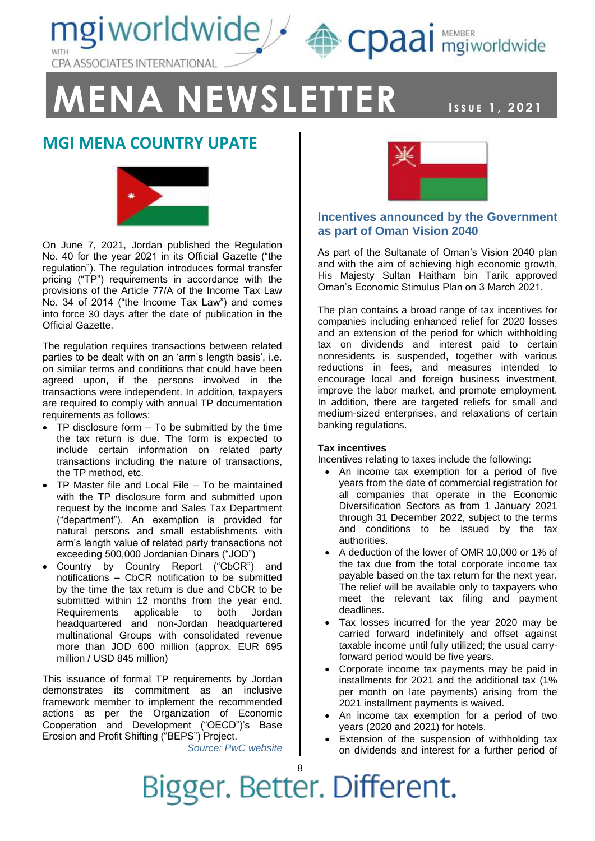mgiworldwide & cpaai MEMBER CPA ASSOCIATES INTERNATIONAL

### **MENA NEWSLETTER ISSUE 1, 2021**

### NEWSLETT, 2021

### **MGI MENA COUNTRY UPATE**



On June 7, 2021, Jordan published the Regulation No. 40 for the year 2021 in its Official Gazette ("the regulation"). The regulation introduces formal transfer pricing ("TP") requirements in accordance with the provisions of the Article 77/A of the Income Tax Law No. 34 of 2014 ("the Income Tax Law") and comes into force 30 days after the date of publication in the Official Gazette.

The regulation requires transactions between related parties to be dealt with on an 'arm's length basis', i.e. on similar terms and conditions that could have been agreed upon, if the persons involved in the transactions were independent. In addition, taxpayers are required to comply with annual TP documentation requirements as follows:

- TP disclosure form To be submitted by the time the tax return is due. The form is expected to include certain information on related party transactions including the nature of transactions, the TP method, etc.
- TP Master file and Local File To be maintained with the TP disclosure form and submitted upon request by the Income and Sales Tax Department ("department"). An exemption is provided for natural persons and small establishments with arm's length value of related party transactions not exceeding 500,000 Jordanian Dinars ("JOD")
- Country by Country Report ("CbCR") and notifications – CbCR notification to be submitted by the time the tax return is due and CbCR to be submitted within 12 months from the year end. Requirements applicable to both Jordan headquartered and non-Jordan headquartered multinational Groups with consolidated revenue more than JOD 600 million (approx. EUR 695 million / USD 845 million)

This issuance of formal TP requirements by Jordan demonstrates its commitment as an inclusive framework member to implement the recommended actions as per the Organization of Economic Cooperation and Development ("OECD")'s Base Erosion and Profit Shifting ("BEPS") Project.

*Source: PwC website*



#### **Incentives announced by the Government as part of Oman Vision 2040**

As part of the Sultanate of Oman's Vision 2040 plan and with the aim of achieving high economic growth, His Majesty Sultan Haitham bin Tarik approved Oman's Economic Stimulus Plan on 3 March 2021.

The plan contains a broad range of tax incentives for companies including enhanced relief for 2020 losses and an extension of the period for which withholding tax on dividends and interest paid to certain nonresidents is suspended, together with various reductions in fees, and measures intended to encourage local and foreign business investment, improve the labor market, and promote employment. In addition, there are targeted reliefs for small and medium-sized enterprises, and relaxations of certain banking regulations.

#### **Tax incentives**

Incentives relating to taxes include the following:

- An income tax exemption for a period of five years from the date of commercial registration for all companies that operate in the Economic Diversification Sectors as from 1 January 2021 through 31 December 2022, subject to the terms and conditions to be issued by the tax authorities.
- A deduction of the lower of OMR 10,000 or 1% of the tax due from the total corporate income tax payable based on the tax return for the next year. The relief will be available only to taxpayers who meet the relevant tax filing and payment deadlines.
- Tax losses incurred for the year 2020 may be carried forward indefinitely and offset against taxable income until fully utilized; the usual carryforward period would be five years.
- Corporate income tax payments may be paid in installments for 2021 and the additional tax (1% per month on late payments) arising from the 2021 installment payments is waived.
- An income tax exemption for a period of two years (2020 and 2021) for hotels.
- Extension of the suspension of withholding tax on dividends and interest for a further period of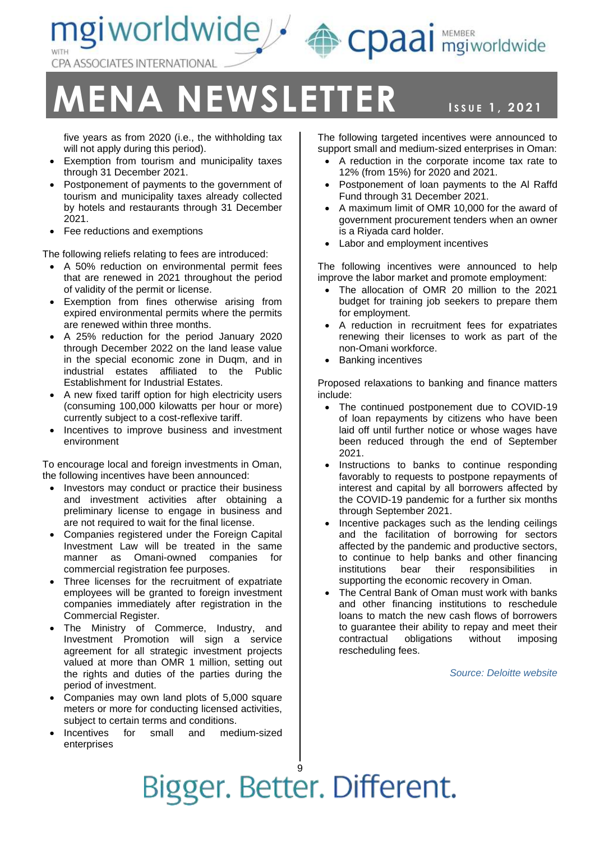CPA ASSOCIATES INTERNATIONAL

## **ENA NEWSLETTER ISSUE 1, 2021**

ngiworldwide<sup>2</sup>

five years as from 2020 (i.e., the withholding tax will not apply during this period).

- Exemption from tourism and municipality taxes through 31 December 2021.
- Postponement of payments to the government of tourism and municipality taxes already collected by hotels and restaurants through 31 December 2021.
- Fee reductions and exemptions

The following reliefs relating to fees are introduced:

- A 50% reduction on environmental permit fees that are renewed in 2021 throughout the period of validity of the permit or license.
- Exemption from fines otherwise arising from expired environmental permits where the permits are renewed within three months.
- A 25% reduction for the period January 2020 through December 2022 on the land lease value in the special economic zone in Duqm, and in industrial estates affiliated to the Public Establishment for Industrial Estates.
- A new fixed tariff option for high electricity users (consuming 100,000 kilowatts per hour or more) currently subject to a cost-reflexive tariff.
- Incentives to improve business and investment environment

To encourage local and foreign investments in Oman, the following incentives have been announced:

- Investors may conduct or practice their business and investment activities after obtaining a preliminary license to engage in business and are not required to wait for the final license.
- Companies registered under the Foreign Capital Investment Law will be treated in the same manner as Omani-owned companies for commercial registration fee purposes.
- Three licenses for the recruitment of expatriate employees will be granted to foreign investment companies immediately after registration in the Commercial Register.
- The Ministry of Commerce, Industry, and Investment Promotion will sign a service agreement for all strategic investment projects valued at more than OMR 1 million, setting out the rights and duties of the parties during the period of investment.
- Companies may own land plots of 5,000 square meters or more for conducting licensed activities, subject to certain terms and conditions.
- Incentives for small and medium-sized enterprises

NEWSLETT, 2021 The following targeted incentives were announced to support small and medium-sized enterprises in Oman:

CDaal mgiworldwide

- A reduction in the corporate income tax rate to 12% (from 15%) for 2020 and 2021.
- Postponement of loan payments to the Al Raffd Fund through 31 December 2021.
- A maximum limit of OMR 10,000 for the award of government procurement tenders when an owner is a Riyada card holder.
- Labor and employment incentives

The following incentives were announced to help improve the labor market and promote employment:

- The allocation of OMR 20 million to the 2021 budget for training job seekers to prepare them for employment.
- A reduction in recruitment fees for expatriates renewing their licenses to work as part of the non-Omani workforce.
- Banking incentives

Proposed relaxations to banking and finance matters include:

- The continued postponement due to COVID-19 of loan repayments by citizens who have been laid off until further notice or whose wages have been reduced through the end of September 2021.
- Instructions to banks to continue responding favorably to requests to postpone repayments of interest and capital by all borrowers affected by the COVID-19 pandemic for a further six months through September 2021.
- Incentive packages such as the lending ceilings and the facilitation of borrowing for sectors affected by the pandemic and productive sectors, to continue to help banks and other financing institutions bear their responsibilities in supporting the economic recovery in Oman.
- The Central Bank of Oman must work with banks and other financing institutions to reschedule loans to match the new cash flows of borrowers to guarantee their ability to repay and meet their contractual obligations without imposing rescheduling fees.

*Source: Deloitte website*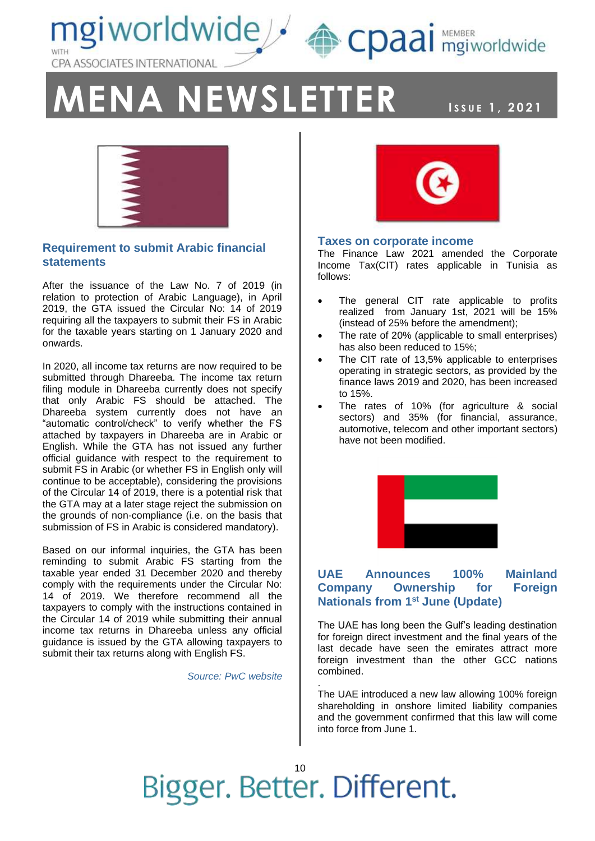mgiworldwide A cpaai MEMBER CPA ASSOCIATES INTERNATIONAL

# **ENA NEWSLETTER ISSUE 1, 2021**

NEWSLETT, 2021



#### **Requirement to submit Arabic financial statements**

After the issuance of the Law No. 7 of 2019 (in relation to protection of Arabic Language), in April 2019, the GTA issued the Circular No: 14 of 2019 requiring all the taxpayers to submit their FS in Arabic for the taxable years starting on 1 January 2020 and onwards.

In 2020, all income tax returns are now required to be submitted through Dhareeba. The income tax return filing module in Dhareeba currently does not specify that only Arabic FS should be attached. The Dhareeba system currently does not have an "automatic control/check" to verify whether the FS attached by taxpayers in Dhareeba are in Arabic or English. While the GTA has not issued any further official guidance with respect to the requirement to submit FS in Arabic (or whether FS in English only will continue to be acceptable), considering the provisions of the Circular 14 of 2019, there is a potential risk that the GTA may at a later stage reject the submission on the grounds of non-compliance (i.e. on the basis that submission of FS in Arabic is considered mandatory).

Based on our informal inquiries, the GTA has been reminding to submit Arabic FS starting from the taxable year ended 31 December 2020 and thereby comply with the requirements under the Circular No: 14 of 2019. We therefore recommend all the taxpayers to comply with the instructions contained in the Circular 14 of 2019 while submitting their annual income tax returns in Dhareeba unless any official guidance is issued by the GTA allowing taxpayers to submit their tax returns along with English FS.

*Source: PwC website*



#### **Taxes on corporate income**

The Finance Law 2021 amended the Corporate Income Tax(CIT) rates applicable in Tunisia as follows:

- The general CIT rate applicable to profits realized from January 1st, 2021 will be 15% (instead of 25% before the amendment);
- The rate of 20% (applicable to small enterprises) has also been reduced to 15%;
- The CIT rate of 13.5% applicable to enterprises operating in strategic sectors, as provided by the finance laws 2019 and 2020, has been increased to 15%.
- The rates of 10% (for agriculture & social sectors) and 35% (for financial, assurance, automotive, telecom and other important sectors) have not been modified.



#### **UAE Announces 100% Mainland Company Ownership for Foreign Nationals from 1st June (Update)**

The UAE has long been the Gulf's leading destination for foreign direct investment and the final years of the last decade have seen the emirates attract more foreign investment than the other GCC nations combined.

The UAE introduced a new law allowing 100% foreign shareholding in onshore limited liability companies and the government confirmed that this law will come into force from June 1.

Bigger. Better. Different.

.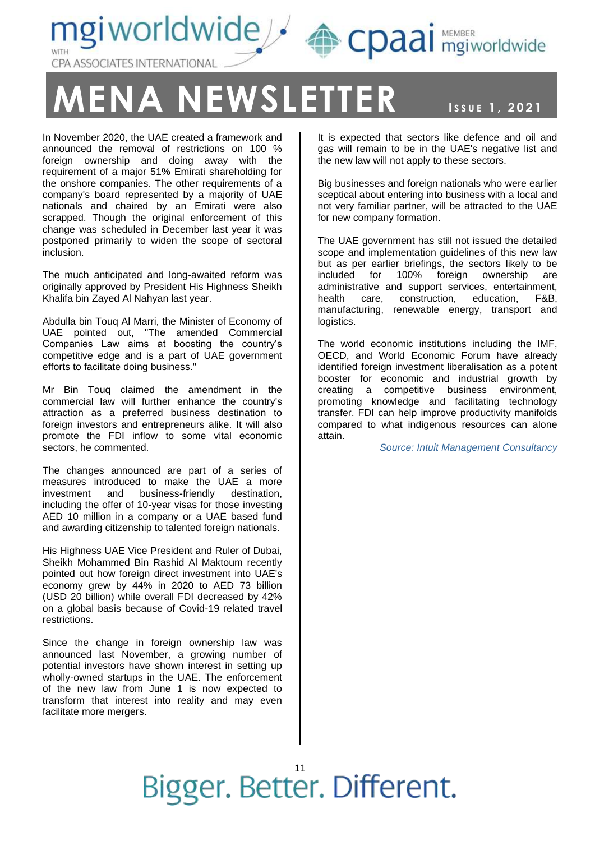ngiworldwide <a>
<a>
<a>
Cpaai mgiworldwide CPA ASSOCIATES INTERNATIONAL

### **ENA NEWSLETTER ISSUE 1, 2021**

NEWSLETT, 2021

In November 2020, the UAE created a framework and announced the removal of restrictions on 100 % foreign ownership and doing away with the requirement of a major 51% Emirati shareholding for the onshore companies. The other requirements of a company's board represented by a majority of UAE nationals and chaired by an Emirati were also scrapped. Though the original enforcement of this change was scheduled in December last year it was postponed primarily to widen the scope of sectoral inclusion.

The much anticipated and long-awaited reform was originally approved by President His Highness Sheikh Khalifa bin Zayed Al Nahyan last year.

Abdulla bin Touq Al Marri, the Minister of Economy of UAE pointed out, "The amended Commercial Companies Law aims at boosting the country's competitive edge and is a part of UAE government efforts to facilitate doing business."

Mr Bin Touq claimed the amendment in the commercial law will further enhance the country's attraction as a preferred business destination to foreign investors and entrepreneurs alike. It will also promote the FDI inflow to some vital economic sectors, he commented.

The changes announced are part of a series of measures introduced to make the UAE a more investment and business-friendly destination, including the offer of 10-year visas for those investing AED 10 million in a company or a UAE based fund and awarding citizenship to talented foreign nationals.

His Highness UAE Vice President and Ruler of Dubai, Sheikh Mohammed Bin Rashid Al Maktoum recently pointed out how foreign direct investment into UAE's economy grew by 44% in 2020 to AED 73 billion (USD 20 billion) while overall FDI decreased by 42% on a global basis because of Covid-19 related travel restrictions.

Since the change in foreign ownership law was announced last November, a growing number of potential investors have shown interest in setting up wholly-owned startups in the UAE. The enforcement of the new law from June 1 is now expected to transform that interest into reality and may even facilitate more mergers.

It is expected that sectors like defence and oil and gas will remain to be in the UAE's negative list and the new law will not apply to these sectors.

Big businesses and foreign nationals who were earlier sceptical about entering into business with a local and not very familiar partner, will be attracted to the UAE for new company formation.

The UAE government has still not issued the detailed scope and implementation guidelines of this new law but as per earlier briefings, the sectors likely to be included for 100% foreign ownership are administrative and support services, entertainment, health care, construction, education, F&B, manufacturing, renewable energy, transport and logistics.

The world economic institutions including the IMF, OECD, and World Economic Forum have already identified foreign investment liberalisation as a potent booster for economic and industrial growth by creating a competitive business environment, promoting knowledge and facilitating technology transfer. FDI can help improve productivity manifolds compared to what indigenous resources can alone attain.

*Source: Intuit Management Consultancy*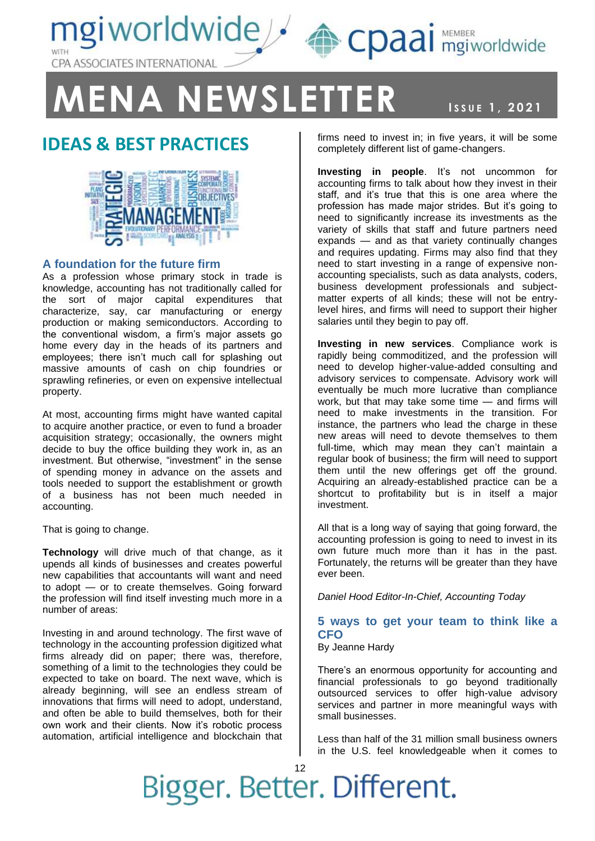

**MENA NEWSLETTER ISSUE 1, 2021** 

### **IDEAS & BEST PRACTICES**



#### **A foundation for the future firm**

As a profession whose primary stock in trade is knowledge, accounting has not traditionally called for the sort of major capital expenditures that characterize, say, car manufacturing or energy production or making semiconductors. According to the conventional wisdom, a firm's major assets go home every day in the heads of its partners and employees; there isn't much call for splashing out massive amounts of cash on chip foundries or sprawling refineries, or even on expensive intellectual property.

At most, accounting firms might have wanted capital to acquire another practice, or even to fund a broader acquisition strategy; occasionally, the owners might decide to buy the office building they work in, as an investment. But otherwise, "investment" in the sense of spending money in advance on the assets and tools needed to support the establishment or growth of a business has not been much needed in accounting.

That is going to change.

**Technology** will drive much of that change, as it upends all kinds of businesses and creates powerful new capabilities that accountants will want and need to adopt — or to create themselves. Going forward the profession will find itself investing much more in a number of areas:

Investing in and around technology. The first wave of technology in the accounting profession digitized what firms already did on paper; there was, therefore, something of a limit to the technologies they could be expected to take on board. The next wave, which is already beginning, will see an endless stream of innovations that firms will need to adopt, understand, and often be able to build themselves, both for their own work and their clients. Now it's robotic process automation, artificial intelligence and blockchain that

NEWSLETT, 2021 firms need to invest in; in five years, it will be some completely different list of game-changers.

**Investing in people**. It's not uncommon for accounting firms to talk about how they invest in their staff, and it's true that this is one area where the profession has made major strides. But it's going to need to significantly increase its investments as the variety of skills that staff and future partners need expands — and as that variety continually changes and requires updating. Firms may also find that they need to start investing in a range of expensive nonaccounting specialists, such as data analysts, coders, business development professionals and subjectmatter experts of all kinds; these will not be entrylevel hires, and firms will need to support their higher salaries until they begin to pay off.

**Investing in new services**. Compliance work is rapidly being commoditized, and the profession will need to develop higher-value-added consulting and advisory services to compensate. Advisory work will eventually be much more lucrative than compliance work, but that may take some time — and firms will need to make investments in the transition. For instance, the partners who lead the charge in these new areas will need to devote themselves to them full-time, which may mean they can't maintain a regular book of business; the firm will need to support them until the new offerings get off the ground. Acquiring an already-established practice can be a shortcut to profitability but is in itself a major investment.

All that is a long way of saying that going forward, the accounting profession is going to need to invest in its own future much more than it has in the past. Fortunately, the returns will be greater than they have ever been.

*Daniel Hood Editor-In-Chief, Accounting Today*

#### **5 ways to get your team to think like a CFO**

By Jeanne Hardy

There's an enormous opportunity for accounting and financial professionals to go beyond traditionally outsourced services to offer high-value advisory services and partner in more meaningful ways with small businesses.

Less than half of the 31 million small business owners in the U.S. feel knowledgeable when it comes to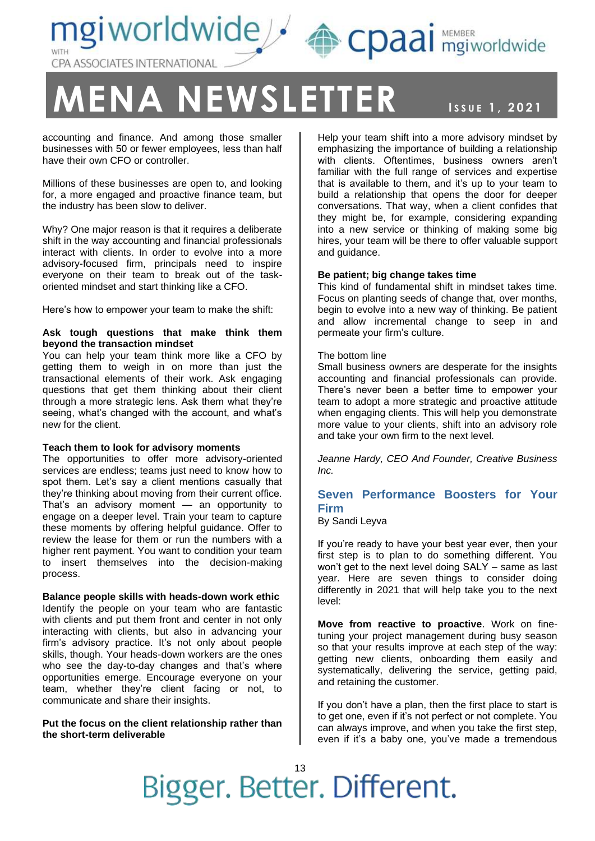mgiworldwide/ CPA ASSOCIATES INTERNATIONAL

## **MENA NEWSLETTER ISSUE 1, 2021**

NEWSLETT, 2021

accounting and finance. And among those smaller businesses with 50 or fewer employees, less than half have their own CFO or controller.

Millions of these businesses are open to, and looking for, a more engaged and proactive finance team, but the industry has been slow to deliver.

Why? One major reason is that it requires a deliberate shift in the way accounting and financial professionals interact with clients. In order to evolve into a more advisory-focused firm, principals need to inspire everyone on their team to break out of the taskoriented mindset and start thinking like a CFO.

Here's how to empower your team to make the shift:

#### **Ask tough questions that make think them beyond the transaction mindset**

You can help your team think more like a CFO by getting them to weigh in on more than just the transactional elements of their work. Ask engaging questions that get them thinking about their client through a more strategic lens. Ask them what they're seeing, what's changed with the account, and what's new for the client.

#### **Teach them to look for advisory moments**

The opportunities to offer more advisory-oriented services are endless; teams just need to know how to spot them. Let's say a client mentions casually that they're thinking about moving from their current office. That's an advisory moment — an opportunity to engage on a deeper level. Train your team to capture these moments by offering helpful guidance. Offer to review the lease for them or run the numbers with a higher rent payment. You want to condition your team to insert themselves into the decision-making process.

#### **Balance people skills with heads-down work ethic** Identify the people on your team who are fantastic with clients and put them front and center in not only interacting with clients, but also in advancing your firm's advisory practice. It's not only about people

skills, though. Your heads-down workers are the ones who see the day-to-day changes and that's where opportunities emerge. Encourage everyone on your team, whether they're client facing or not, to communicate and share their insights.

**Put the focus on the client relationship rather than the short-term deliverable**

Help your team shift into a more advisory mindset by emphasizing the importance of building a relationship with clients. Oftentimes, business owners aren't familiar with the full range of services and expertise that is available to them, and it's up to your team to build a relationship that opens the door for deeper conversations. That way, when a client confides that they might be, for example, considering expanding into a new service or thinking of making some big hires, your team will be there to offer valuable support and guidance.

CDaal mgiworldwide

#### **Be patient; big change takes time**

This kind of fundamental shift in mindset takes time. Focus on planting seeds of change that, over months, begin to evolve into a new way of thinking. Be patient and allow incremental change to seep in and permeate your firm's culture.

#### The bottom line

Small business owners are desperate for the insights accounting and financial professionals can provide. There's never been a better time to empower your team to adopt a more strategic and proactive attitude when engaging clients. This will help you demonstrate more value to your clients, shift into an advisory role and take your own firm to the next level.

*Jeanne Hardy, CEO And Founder, Creative Business Inc.*

#### **Seven Performance Boosters for Your Firm**

By Sandi Leyva

If you're ready to have your best year ever, then your first step is to plan to do something different. You won't get to the next level doing SALY – same as last year. Here are seven things to consider doing differently in 2021 that will help take you to the next level:

**Move from reactive to proactive**. Work on finetuning your project management during busy season so that your results improve at each step of the way: getting new clients, onboarding them easily and systematically, delivering the service, getting paid, and retaining the customer.

If you don't have a plan, then the first place to start is to get one, even if it's not perfect or not complete. You can always improve, and when you take the first step, even if it's a baby one, you've made a tremendous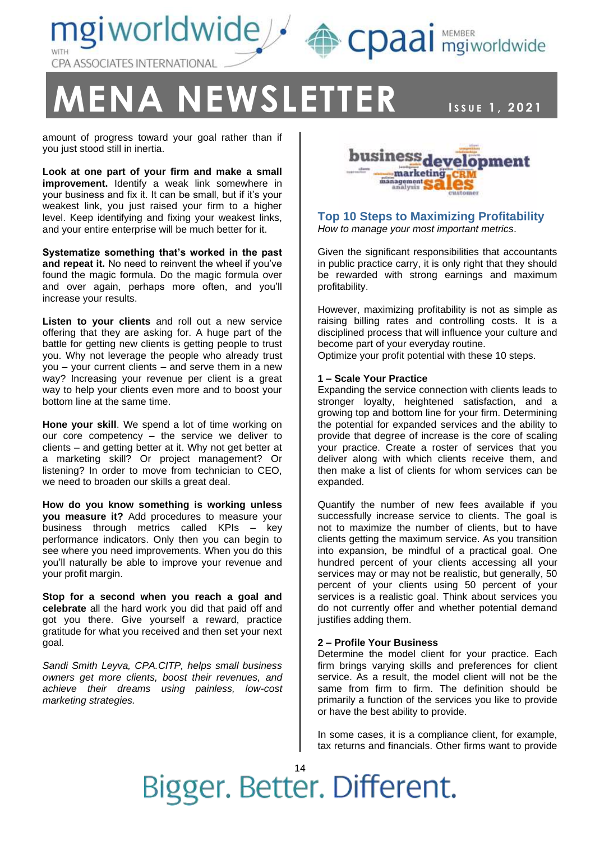



CDaal mgiworldwide

### $M$  **A**  $N$  **EWSLETTER**

**ISSUE 1, 2021** 

amount of progress toward your goal rather than if you just stood still in inertia.

**Look at one part of your firm and make a small improvement.** Identify a weak link somewhere in your business and fix it. It can be small, but if it's your weakest link, you just raised your firm to a higher level. Keep identifying and fixing your weakest links, and your entire enterprise will be much better for it.

**Systematize something that's worked in the past and repeat it.** No need to reinvent the wheel if you've found the magic formula. Do the magic formula over and over again, perhaps more often, and you'll increase your results.

**Listen to your clients** and roll out a new service offering that they are asking for. A huge part of the battle for getting new clients is getting people to trust you. Why not leverage the people who already trust you – your current clients – and serve them in a new way? Increasing your revenue per client is a great way to help your clients even more and to boost your bottom line at the same time.

**Hone your skill**. We spend a lot of time working on our core competency – the service we deliver to clients – and getting better at it. Why not get better at a marketing skill? Or project management? Or listening? In order to move from technician to CEO, we need to broaden our skills a great deal.

**How do you know something is working unless you measure it?** Add procedures to measure your business through metrics called KPIs – key performance indicators. Only then you can begin to see where you need improvements. When you do this you'll naturally be able to improve your revenue and your profit margin.

**Stop for a second when you reach a goal and celebrate** all the hard work you did that paid off and got you there. Give yourself a reward, practice gratitude for what you received and then set your next goal.

*Sandi Smith Leyva, CPA.CITP, helps small business owners get more clients, boost their revenues, and achieve their dreams using painless, low-cost marketing strategies.*



#### **Top 10 Steps to Maximizing Profitability** *How to manage your most important metrics*.

Given the significant responsibilities that accountants in public practice carry, it is only right that they should be rewarded with strong earnings and maximum profitability.

However, maximizing profitability is not as simple as raising billing rates and controlling costs. It is a disciplined process that will influence your culture and become part of your everyday routine.

Optimize your profit potential with these 10 steps.

#### **1 – Scale Your Practice**

Expanding the service connection with clients leads to stronger loyalty, heightened satisfaction, and a growing top and bottom line for your firm. Determining the potential for expanded services and the ability to provide that degree of increase is the core of scaling your practice. Create a roster of services that you deliver along with which clients receive them, and then make a list of clients for whom services can be expanded.

Quantify the number of new fees available if you successfully increase service to clients. The goal is not to maximize the number of clients, but to have clients getting the maximum service. As you transition into expansion, be mindful of a practical goal. One hundred percent of your clients accessing all your services may or may not be realistic, but generally, 50 percent of your clients using 50 percent of your services is a realistic goal. Think about services you do not currently offer and whether potential demand justifies adding them.

#### **2 – Profile Your Business**

Determine the model client for your practice. Each firm brings varying skills and preferences for client service. As a result, the model client will not be the same from firm to firm. The definition should be primarily a function of the services you like to provide or have the best ability to provide.

In some cases, it is a compliance client, for example, tax returns and financials. Other firms want to provide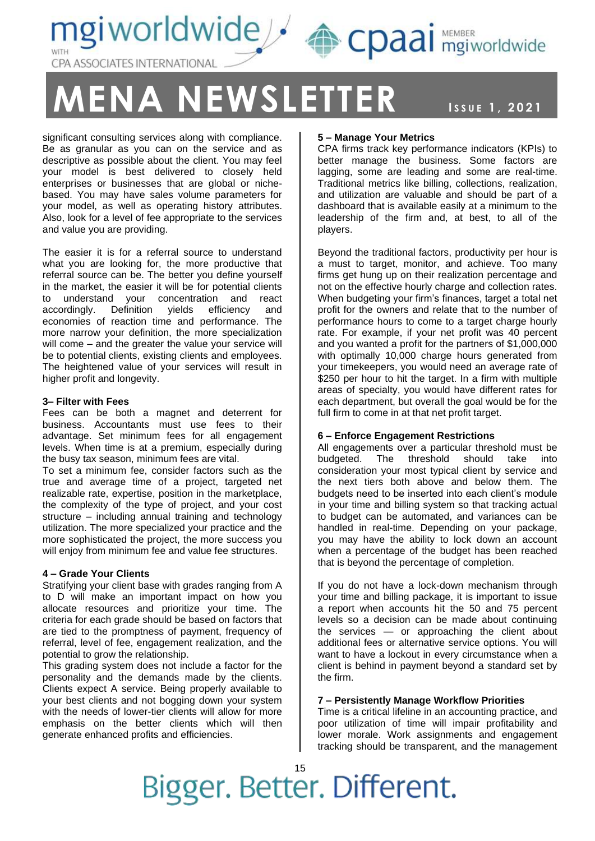



NEWSLETT, 2021

significant consulting services along with compliance. Be as granular as you can on the service and as descriptive as possible about the client. You may feel your model is best delivered to closely held enterprises or businesses that are global or nichebased. You may have sales volume parameters for your model, as well as operating history attributes. Also, look for a level of fee appropriate to the services and value you are providing.

The easier it is for a referral source to understand what you are looking for, the more productive that referral source can be. The better you define yourself in the market, the easier it will be for potential clients to understand your concentration and react accordingly. Definition yields efficiency and economies of reaction time and performance. The more narrow your definition, the more specialization will come – and the greater the value your service will be to potential clients, existing clients and employees. The heightened value of your services will result in higher profit and longevity.

#### **3– Filter with Fees**

Fees can be both a magnet and deterrent for business. Accountants must use fees to their advantage. Set minimum fees for all engagement levels. When time is at a premium, especially during the busy tax season, minimum fees are vital.

To set a minimum fee, consider factors such as the true and average time of a project, targeted net realizable rate, expertise, position in the marketplace, the complexity of the type of project, and your cost structure – including annual training and technology utilization. The more specialized your practice and the more sophisticated the project, the more success you will enjoy from minimum fee and value fee structures.

#### **4 – Grade Your Clients**

Stratifying your client base with grades ranging from A to D will make an important impact on how you allocate resources and prioritize your time. The criteria for each grade should be based on factors that are tied to the promptness of payment, frequency of referral, level of fee, engagement realization, and the potential to grow the relationship.

This grading system does not include a factor for the personality and the demands made by the clients. Clients expect A service. Being properly available to your best clients and not bogging down your system with the needs of lower-tier clients will allow for more emphasis on the better clients which will then generate enhanced profits and efficiencies.

#### **5 – Manage Your Metrics**

CPA firms track key performance indicators (KPIs) to better manage the business. Some factors are lagging, some are leading and some are real-time. Traditional metrics like billing, collections, realization, and utilization are valuable and should be part of a dashboard that is available easily at a minimum to the leadership of the firm and, at best, to all of the players.

CDaal mgiworldwide

Beyond the traditional factors, productivity per hour is a must to target, monitor, and achieve. Too many firms get hung up on their realization percentage and not on the effective hourly charge and collection rates. When budgeting your firm's finances, target a total net profit for the owners and relate that to the number of performance hours to come to a target charge hourly rate. For example, if your net profit was 40 percent and you wanted a profit for the partners of \$1,000,000 with optimally 10,000 charge hours generated from your timekeepers, you would need an average rate of \$250 per hour to hit the target. In a firm with multiple areas of specialty, you would have different rates for each department, but overall the goal would be for the full firm to come in at that net profit target.

#### **6 – Enforce Engagement Restrictions**

All engagements over a particular threshold must be budgeted. The threshold should take into consideration your most typical client by service and the next tiers both above and below them. The budgets need to be inserted into each client's module in your time and billing system so that tracking actual to budget can be automated, and variances can be handled in real-time. Depending on your package, you may have the ability to lock down an account when a percentage of the budget has been reached that is beyond the percentage of completion.

If you do not have a lock-down mechanism through your time and billing package, it is important to issue a report when accounts hit the 50 and 75 percent levels so a decision can be made about continuing the services — or approaching the client about additional fees or alternative service options. You will want to have a lockout in every circumstance when a client is behind in payment beyond a standard set by the firm.

#### **7 – Persistently Manage Workflow Priorities**

Time is a critical lifeline in an accounting practice, and poor utilization of time will impair profitability and lower morale. Work assignments and engagement tracking should be transparent, and the management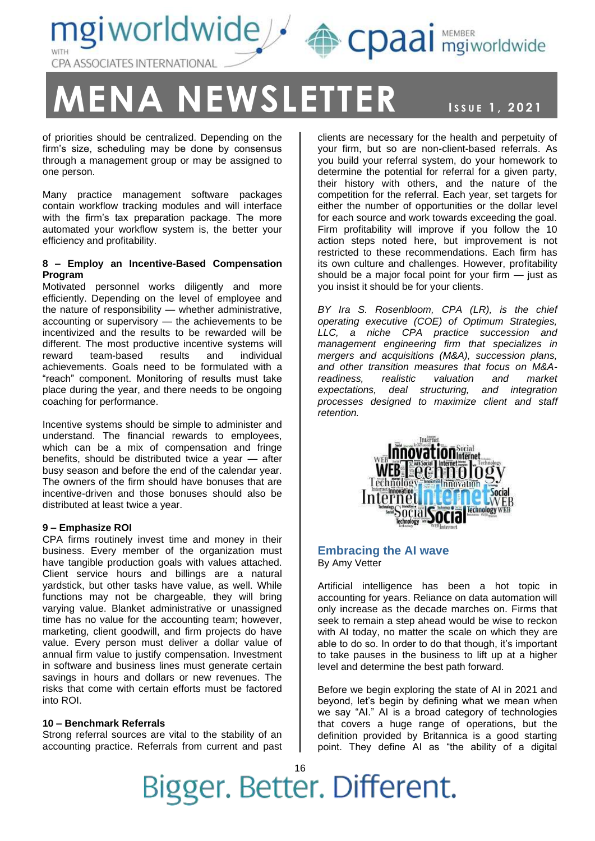mgiworldwide / epaai MEMBER CPA ASSOCIATES INTERNATIONAL

## **ENA NEWSLETTER ISSUE 1, 2021**

NEWSLETT, 2021

of priorities should be centralized. Depending on the firm's size, scheduling may be done by consensus through a management group or may be assigned to one person.

Many practice management software packages contain workflow tracking modules and will interface with the firm's tax preparation package. The more automated your workflow system is, the better your efficiency and profitability.

#### **8 – Employ an Incentive-Based Compensation Program**

Motivated personnel works diligently and more efficiently. Depending on the level of employee and the nature of responsibility — whether administrative, accounting or supervisory — the achievements to be incentivized and the results to be rewarded will be different. The most productive incentive systems will reward team-based results and individual achievements. Goals need to be formulated with a "reach" component. Monitoring of results must take place during the year, and there needs to be ongoing coaching for performance.

Incentive systems should be simple to administer and understand. The financial rewards to employees, which can be a mix of compensation and fringe benefits, should be distributed twice a year — after busy season and before the end of the calendar year. The owners of the firm should have bonuses that are incentive-driven and those bonuses should also be distributed at least twice a year.

#### **9 – Emphasize ROI**

CPA firms routinely invest time and money in their business. Every member of the organization must have tangible production goals with values attached. Client service hours and billings are a natural yardstick, but other tasks have value, as well. While functions may not be chargeable, they will bring varying value. Blanket administrative or unassigned time has no value for the accounting team; however, marketing, client goodwill, and firm projects do have value. Every person must deliver a dollar value of annual firm value to justify compensation. Investment in software and business lines must generate certain savings in hours and dollars or new revenues. The risks that come with certain efforts must be factored into ROI.

#### **10 – Benchmark Referrals**

Strong referral sources are vital to the stability of an accounting practice. Referrals from current and past clients are necessary for the health and perpetuity of your firm, but so are non-client-based referrals. As you build your referral system, do your homework to determine the potential for referral for a given party, their history with others, and the nature of the competition for the referral. Each year, set targets for either the number of opportunities or the dollar level for each source and work towards exceeding the goal. Firm profitability will improve if you follow the 10 action steps noted here, but improvement is not restricted to these recommendations. Each firm has its own culture and challenges. However, profitability should be a major focal point for your firm — just as you insist it should be for your clients.

*BY Ira S. Rosenbloom, CPA (LR), is the chief operating executive (COE) of Optimum Strategies, LLC, a niche CPA practice succession and management engineering firm that specializes in mergers and acquisitions (M&A), succession plans, and other transition measures that focus on M&Areadiness, realistic valuation and market expectations, deal structuring, and integration processes designed to maximize client and staff retention.*



#### **Embracing the AI wave** By Amy Vetter

Artificial intelligence has been a hot topic in accounting for years. Reliance on data automation will only increase as the decade marches on. Firms that seek to remain a step ahead would be wise to reckon with AI today, no matter the scale on which they are able to do so. In order to do that though, it's important to take pauses in the business to lift up at a higher level and determine the best path forward.

Before we begin exploring the state of AI in 2021 and beyond, let's begin by defining what we mean when we say "AI." AI is a broad category of technologies that covers a huge range of operations, but the definition provided by Britannica is a good starting point. They define AI as "the ability of a digital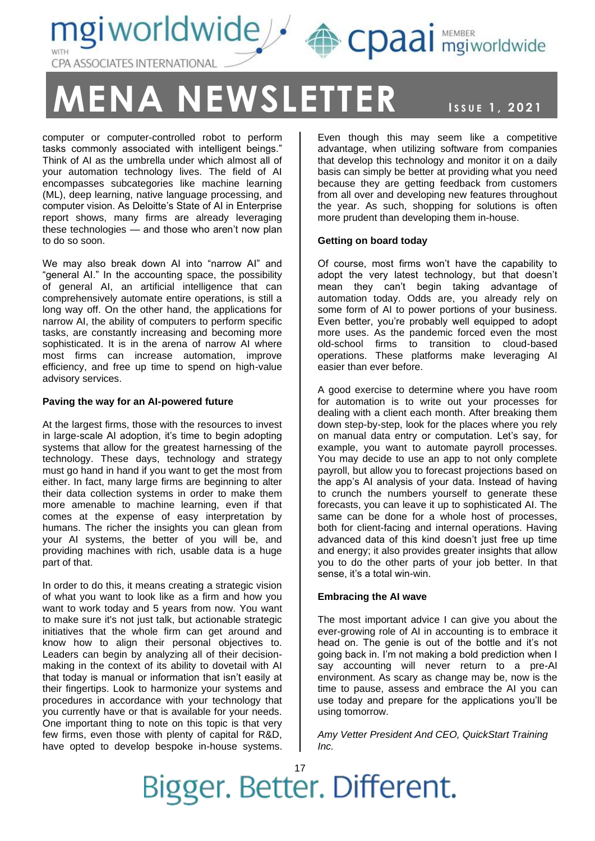

### **ENA NEWSLETTER ISSUE 1, 2021**

computer or computer-controlled robot to perform tasks commonly associated with intelligent beings." Think of AI as the umbrella under which almost all of your automation technology lives. The field of AI encompasses subcategories like machine learning (ML), deep learning, native language processing, and computer vision. As Deloitte's State of AI in Enterprise report shows, many firms are already leveraging these technologies — and those who aren't now plan to do so soon.

We may also break down AI into "narrow AI" and "general AI." In the accounting space, the possibility of general AI, an artificial intelligence that can comprehensively automate entire operations, is still a long way off. On the other hand, the applications for narrow AI, the ability of computers to perform specific tasks, are constantly increasing and becoming more sophisticated. It is in the arena of narrow AI where most firms can increase automation, improve efficiency, and free up time to spend on high-value advisory services.

#### **Paving the way for an AI-powered future**

At the largest firms, those with the resources to invest in large-scale AI adoption, it's time to begin adopting systems that allow for the greatest harnessing of the technology. These days, technology and strategy must go hand in hand if you want to get the most from either. In fact, many large firms are beginning to alter their data collection systems in order to make them more amenable to machine learning, even if that comes at the expense of easy interpretation by humans. The richer the insights you can glean from your AI systems, the better of you will be, and providing machines with rich, usable data is a huge part of that.

In order to do this, it means creating a strategic vision of what you want to look like as a firm and how you want to work today and 5 years from now. You want to make sure it's not just talk, but actionable strategic initiatives that the whole firm can get around and know how to align their personal objectives to. Leaders can begin by analyzing all of their decisionmaking in the context of its ability to dovetail with AI that today is manual or information that isn't easily at their fingertips. Look to harmonize your systems and procedures in accordance with your technology that you currently have or that is available for your needs. One important thing to note on this topic is that very few firms, even those with plenty of capital for R&D, have opted to develop bespoke in-house systems.

Even though this may seem like a competitive advantage, when utilizing software from companies that develop this technology and monitor it on a daily basis can simply be better at providing what you need because they are getting feedback from customers from all over and developing new features throughout the year. As such, shopping for solutions is often more prudent than developing them in-house.

#### **Getting on board today**

Of course, most firms won't have the capability to adopt the very latest technology, but that doesn't mean they can't begin taking advantage of automation today. Odds are, you already rely on some form of AI to power portions of your business. Even better, you're probably well equipped to adopt more uses. As the pandemic forced even the most old-school firms to transition to cloud-based operations. These platforms make leveraging AI easier than ever before.

A good exercise to determine where you have room for automation is to write out your processes for dealing with a client each month. After breaking them down step-by-step, look for the places where you rely on manual data entry or computation. Let's say, for example, you want to automate payroll processes. You may decide to use an app to not only complete payroll, but allow you to forecast projections based on the app's AI analysis of your data. Instead of having to crunch the numbers yourself to generate these forecasts, you can leave it up to sophisticated AI. The same can be done for a whole host of processes, both for client-facing and internal operations. Having advanced data of this kind doesn't just free up time and energy; it also provides greater insights that allow you to do the other parts of your job better. In that sense, it's a total win-win.

#### **Embracing the AI wave**

The most important advice I can give you about the ever-growing role of AI in accounting is to embrace it head on. The genie is out of the bottle and it's not going back in. I'm not making a bold prediction when I say accounting will never return to a pre-AI environment. As scary as change may be, now is the time to pause, assess and embrace the AI you can use today and prepare for the applications you'll be using tomorrow.

*Amy Vetter President And CEO, QuickStart Training Inc.* 

Bigger. Better. Different.

### NEWSLETT, 2021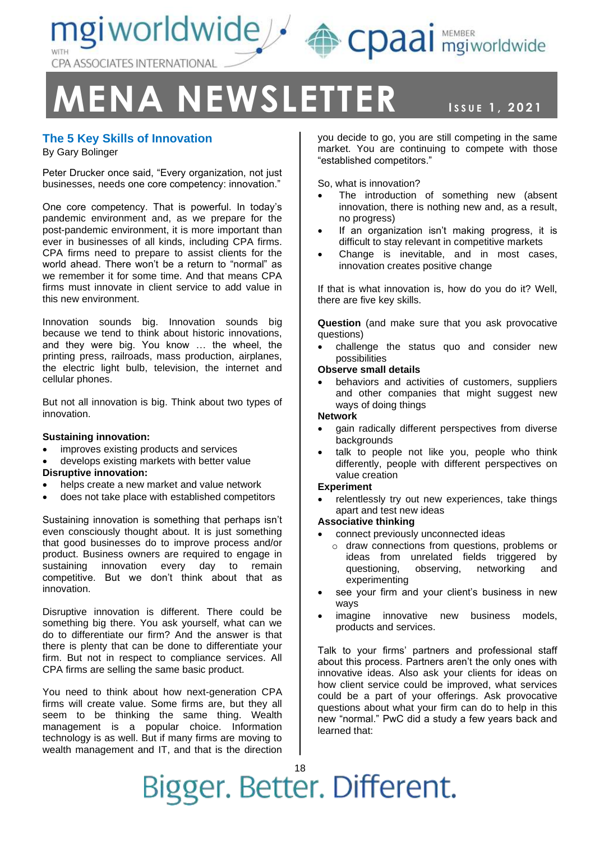mgiworldwide & cpaai MEMBER CPA ASSOCIATES INTERNATIONAL

## **MENA NEWSLETTER ISSUE 1, 2021**

### NEWSLETT, 2021

#### **The 5 Key Skills of Innovation**

By Gary Bolinger

Peter Drucker once said, "Every organization, not just businesses, needs one core competency: innovation."

One core competency. That is powerful. In today's pandemic environment and, as we prepare for the post-pandemic environment, it is more important than ever in businesses of all kinds, including CPA firms. CPA firms need to prepare to assist clients for the world ahead. There won't be a return to "normal" as we remember it for some time. And that means CPA firms must innovate in client service to add value in this new environment.

Innovation sounds big. Innovation sounds big because we tend to think about historic innovations, and they were big. You know … the wheel, the printing press, railroads, mass production, airplanes, the electric light bulb, television, the internet and cellular phones.

But not all innovation is big. Think about two types of innovation.

#### **Sustaining innovation:**

- improves existing products and services
- develops existing markets with better value

#### **Disruptive innovation:**

- helps create a new market and value network
- does not take place with established competitors

Sustaining innovation is something that perhaps isn't even consciously thought about. It is just something that good businesses do to improve process and/or product. Business owners are required to engage in sustaining innovation every day to remain competitive. But we don't think about that as innovation.

Disruptive innovation is different. There could be something big there. You ask yourself, what can we do to differentiate our firm? And the answer is that there is plenty that can be done to differentiate your firm. But not in respect to compliance services. All CPA firms are selling the same basic product.

You need to think about how next-generation CPA firms will create value. Some firms are, but they all seem to be thinking the same thing. Wealth management is a popular choice. Information technology is as well. But if many firms are moving to wealth management and IT, and that is the direction

you decide to go, you are still competing in the same market. You are continuing to compete with those "established competitors."

So, what is innovation?

- The introduction of something new (absent innovation, there is nothing new and, as a result, no progress)
- If an organization isn't making progress, it is difficult to stay relevant in competitive markets
- Change is inevitable, and in most cases, innovation creates positive change

If that is what innovation is, how do you do it? Well, there are five key skills.

**Question** (and make sure that you ask provocative questions)

• challenge the status quo and consider new possibilities

#### **Observe small details**

behaviors and activities of customers, suppliers and other companies that might suggest new ways of doing things

#### **Network**

- gain radically different perspectives from diverse backgrounds
- talk to people not like you, people who think differently, people with different perspectives on value creation

#### **Experiment**

relentlessly try out new experiences, take things apart and test new ideas

#### **Associative thinking**

- connect previously unconnected ideas
	- o draw connections from questions, problems or ideas from unrelated fields triggered by questioning, observing, networking and experimenting
- see your firm and your client's business in new ways
- imagine innovative new business models, products and services.

Talk to your firms' partners and professional staff about this process. Partners aren't the only ones with innovative ideas. Also ask your clients for ideas on how client service could be improved, what services could be a part of your offerings. Ask provocative questions about what your firm can do to help in this new "normal." PwC did a study a few years back and learned that: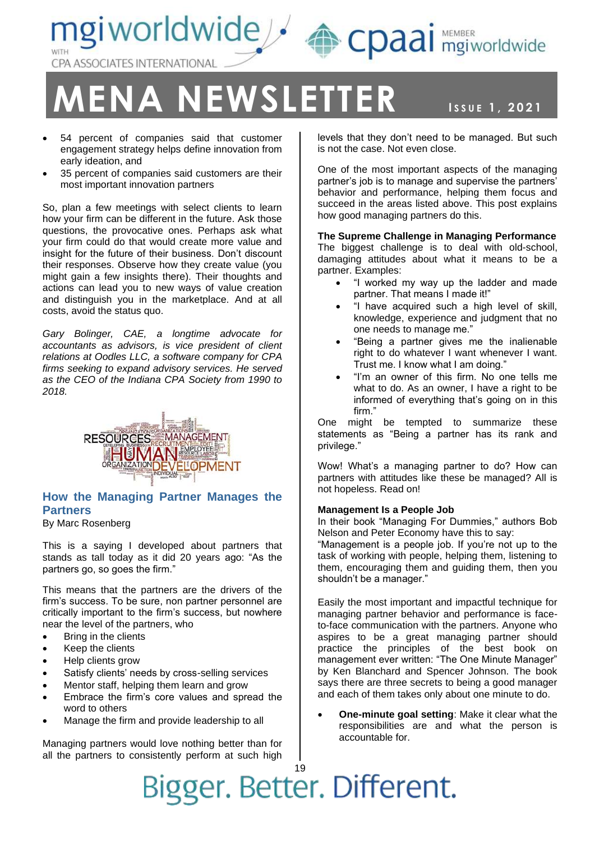

### **ENA NEWSLETTER ISSUE 1, 2021**

NEWSLETT, 2021

- 54 percent of companies said that customer engagement strategy helps define innovation from early ideation, and
- 35 percent of companies said customers are their most important innovation partners

So, plan a few meetings with select clients to learn how your firm can be different in the future. Ask those questions, the provocative ones. Perhaps ask what your firm could do that would create more value and insight for the future of their business. Don't discount their responses. Observe how they create value (you might gain a few insights there). Their thoughts and actions can lead you to new ways of value creation and distinguish you in the marketplace. And at all costs, avoid the status quo.

*Gary Bolinger, CAE, a longtime advocate for accountants as advisors, is vice president of client relations at Oodles LLC, a software company for CPA firms seeking to expand advisory services. He served as the CEO of the Indiana CPA Society from 1990 to 2018.*



#### **How the Managing Partner Manages the Partners**

By Marc Rosenberg

This is a saying I developed about partners that stands as tall today as it did 20 years ago: "As the partners go, so goes the firm."

This means that the partners are the drivers of the firm's success. To be sure, non partner personnel are critically important to the firm's success, but nowhere near the level of the partners, who

- Bring in the clients
- Keep the clients
- Help clients grow
- Satisfy clients' needs by cross-selling services
- Mentor staff, helping them learn and grow
- Embrace the firm's core values and spread the word to others
- Manage the firm and provide leadership to all

Managing partners would love nothing better than for all the partners to consistently perform at such high levels that they don't need to be managed. But such is not the case. Not even close.

One of the most important aspects of the managing partner's job is to manage and supervise the partners' behavior and performance, helping them focus and succeed in the areas listed above. This post explains how good managing partners do this.

**The Supreme Challenge in Managing Performance** The biggest challenge is to deal with old-school, damaging attitudes about what it means to be a partner. Examples:

- "I worked my way up the ladder and made partner. That means I made it!"
- "I have acquired such a high level of skill, knowledge, experience and judgment that no one needs to manage me."
- "Being a partner gives me the inalienable right to do whatever I want whenever I want. Trust me. I know what I am doing."
- "I'm an owner of this firm. No one tells me what to do. As an owner, I have a right to be informed of everything that's going on in this firm."

One might be tempted to summarize these statements as "Being a partner has its rank and privilege."

Wow! What's a managing partner to do? How can partners with attitudes like these be managed? All is not hopeless. Read on!

#### **Management Is a People Job**

In their book "Managing For Dummies," authors Bob Nelson and Peter Economy have this to say:

"Management is a people job. If you're not up to the task of working with people, helping them, listening to them, encouraging them and guiding them, then you shouldn't be a manager."

Easily the most important and impactful technique for managing partner behavior and performance is faceto-face communication with the partners. Anyone who aspires to be a great managing partner should practice the principles of the best book on management ever written: "The One Minute Manager" by Ken Blanchard and Spencer Johnson. The book says there are three secrets to being a good manager and each of them takes only about one minute to do.

• **One-minute goal setting**: Make it clear what the responsibilities are and what the person is accountable for.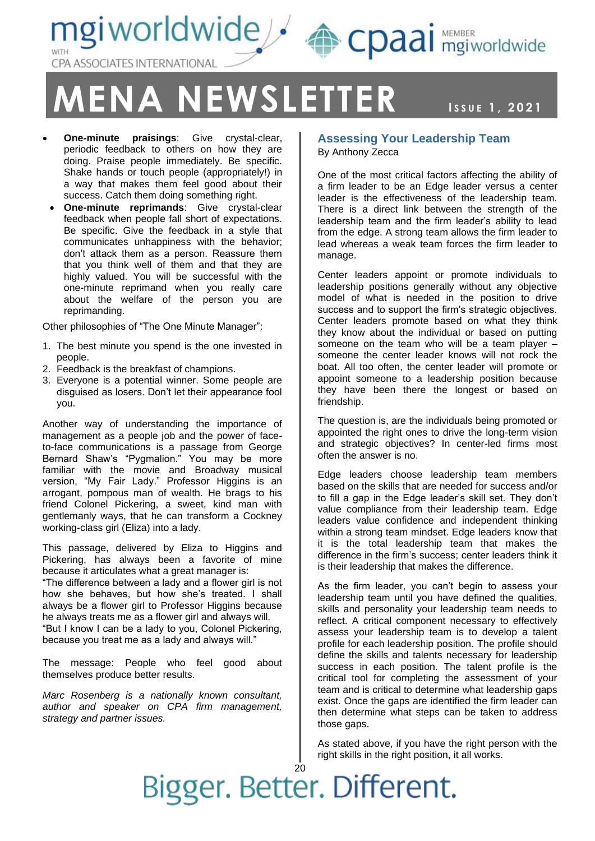mgiworldwide & cpaai mgiworldwide **ASSOCIATES INTERNATIONAL** 



NEWSLETT, 2021

- **One-minute praisings**: Give crystal-clear, periodic feedback to others on how they are doing. Praise people immediately. Be specific. Shake hands or touch people (appropriately!) in a way that makes them feel good about their success. Catch them doing something right.
- **One-minute reprimands**: Give crystal-clear feedback when people fall short of expectations. Be specific. Give the feedback in a style that communicates unhappiness with the behavior; don't attack them as a person. Reassure them that you think well of them and that they are highly valued. You will be successful with the one-minute reprimand when you really care about the welfare of the person you are reprimanding.

Other philosophies of "The One Minute Manager":

- 1. The best minute you spend is the one invested in people.
- 2. Feedback is the breakfast of champions.
- 3. Everyone is a potential winner. Some people are disguised as losers. Don't let their appearance fool you.

Another way of understanding the importance of management as a people job and the power of faceto-face communications is a passage from George Bernard Shaw's "Pygmalion." You may be more familiar with the movie and Broadway musical version, "My Fair Lady." Professor Higgins is an arrogant, pompous man of wealth. He brags to his friend Colonel Pickering, a sweet, kind man with gentlemanly ways, that he can transform a Cockney working-class girl (Eliza) into a lady.

This passage, delivered by Eliza to Higgins and Pickering, has always been a favorite of mine because it articulates what a great manager is: "The difference between a lady and a flower girl is not how she behaves, but how she's treated. I shall always be a flower girl to Professor Higgins because he always treats me as a flower girl and always will. "But I know I can be a lady to you, Colonel Pickering, because you treat me as a lady and always will."

The message: People who feel good about themselves produce better results.

*Marc Rosenberg is a nationally known consultant, author and speaker on CPA firm management, strategy and partner issues.*

#### **Assessing Your Leadership Team** By Anthony Zecca

One of the most critical factors affecting the ability of a firm leader to be an Edge leader versus a center leader is the effectiveness of the leadership team. There is a direct link between the strength of the leadership team and the firm leader's ability to lead from the edge. A strong team allows the firm leader to lead whereas a weak team forces the firm leader to manage.

Center leaders appoint or promote individuals to leadership positions generally without any objective model of what is needed in the position to drive success and to support the firm's strategic objectives. Center leaders promote based on what they think they know about the individual or based on putting someone on the team who will be a team player – someone the center leader knows will not rock the boat. All too often, the center leader will promote or appoint someone to a leadership position because they have been there the longest or based on friendship.

The question is, are the individuals being promoted or appointed the right ones to drive the long-term vision and strategic objectives? In center-led firms most often the answer is no.

Edge leaders choose leadership team members based on the skills that are needed for success and/or to fill a gap in the Edge leader's skill set. They don't value compliance from their leadership team. Edge leaders value confidence and independent thinking within a strong team mindset. Edge leaders know that it is the total leadership team that makes the difference in the firm's success; center leaders think it is their leadership that makes the difference.

As the firm leader, you can't begin to assess your leadership team until you have defined the qualities, skills and personality your leadership team needs to reflect. A critical component necessary to effectively assess your leadership team is to develop a talent profile for each leadership position. The profile should define the skills and talents necessary for leadership success in each position. The talent profile is the critical tool for completing the assessment of your team and is critical to determine what leadership gaps exist. Once the gaps are identified the firm leader can then determine what steps can be taken to address those gaps.

As stated above, if you have the right person with the right skills in the right position, it all works.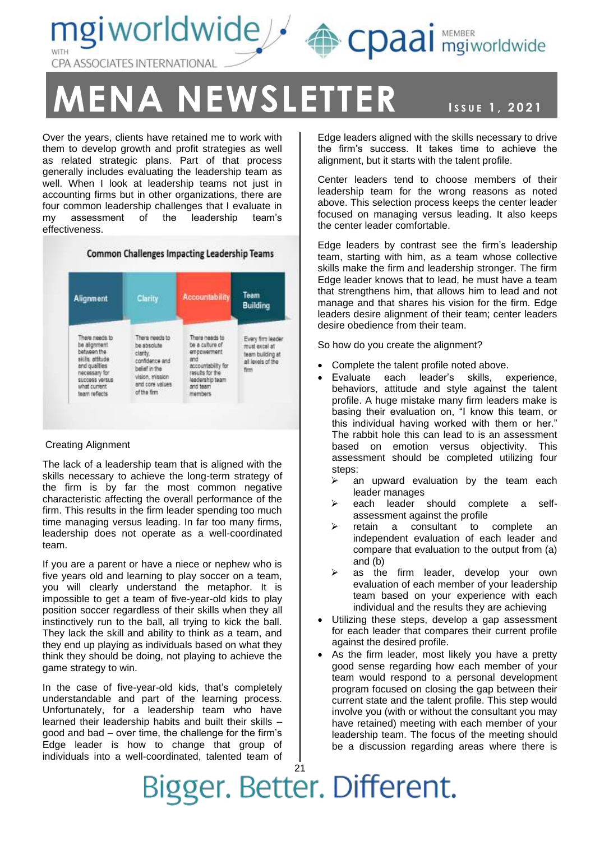mgiworldwide A cpaai MEMBER CPA ASSOCIATES INTERNATIONAL

## **ENA NEWSLETTER ISSUE 1, 2021**

Over the years, clients have retained me to work with them to develop growth and profit strategies as well as related strategic plans. Part of that process generally includes evaluating the leadership team as well. When I look at leadership teams not just in accounting firms but in other organizations, there are four common leadership challenges that I evaluate in my assessment of the leadership team's effectiveness.

#### **Common Challenges Impacting Leadership Teams**



#### Creating Alignment

The lack of a leadership team that is aligned with the skills necessary to achieve the long-term strategy of the firm is by far the most common negative characteristic affecting the overall performance of the firm. This results in the firm leader spending too much time managing versus leading. In far too many firms, leadership does not operate as a well-coordinated team.

If you are a parent or have a niece or nephew who is five years old and learning to play soccer on a team, you will clearly understand the metaphor. It is impossible to get a team of five-year-old kids to play position soccer regardless of their skills when they all instinctively run to the ball, all trying to kick the ball. They lack the skill and ability to think as a team, and they end up playing as individuals based on what they think they should be doing, not playing to achieve the game strategy to win.

In the case of five-year-old kids, that's completely understandable and part of the learning process. Unfortunately, for a leadership team who have learned their leadership habits and built their skills – good and bad – over time, the challenge for the firm's Edge leader is how to change that group of individuals into a well-coordinated, talented team of

NEWSLETT, 2021 Edge leaders aligned with the skills necessary to drive the firm's success. It takes time to achieve the alignment, but it starts with the talent profile.

Center leaders tend to choose members of their leadership team for the wrong reasons as noted above. This selection process keeps the center leader focused on managing versus leading. It also keeps the center leader comfortable.

Edge leaders by contrast see the firm's leadership team, starting with him, as a team whose collective skills make the firm and leadership stronger. The firm Edge leader knows that to lead, he must have a team that strengthens him, that allows him to lead and not manage and that shares his vision for the firm. Edge leaders desire alignment of their team; center leaders desire obedience from their team.

So how do you create the alignment?

- Complete the talent profile noted above.
- Evaluate each leader's skills, experience, behaviors, attitude and style against the talent profile. A huge mistake many firm leaders make is basing their evaluation on, "I know this team, or this individual having worked with them or her." The rabbit hole this can lead to is an assessment based on emotion versus objectivity. This assessment should be completed utilizing four steps:
	- $\triangleright$  an upward evaluation by the team each leader manages
	- each leader should complete a selfassessment against the profile
	- ➢ retain a consultant to complete an independent evaluation of each leader and compare that evaluation to the output from (a) and (b)
	- ➢ as the firm leader, develop your own evaluation of each member of your leadership team based on your experience with each individual and the results they are achieving
- Utilizing these steps, develop a gap assessment for each leader that compares their current profile against the desired profile.
- As the firm leader, most likely you have a pretty good sense regarding how each member of your team would respond to a personal development program focused on closing the gap between their current state and the talent profile. This step would involve you (with or without the consultant you may have retained) meeting with each member of your leadership team. The focus of the meeting should be a discussion regarding areas where there is